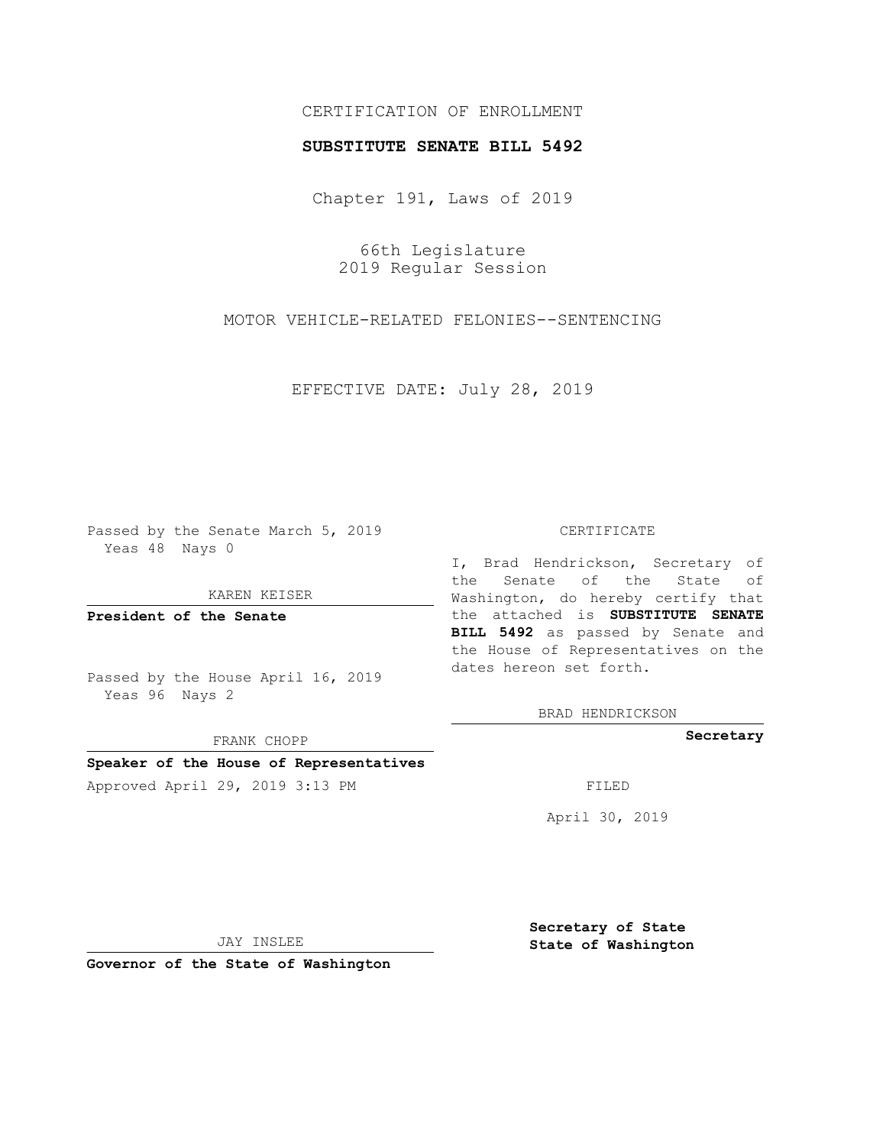# CERTIFICATION OF ENROLLMENT

## **SUBSTITUTE SENATE BILL 5492**

Chapter 191, Laws of 2019

66th Legislature 2019 Regular Session

MOTOR VEHICLE-RELATED FELONIES--SENTENCING

EFFECTIVE DATE: July 28, 2019

Passed by the Senate March 5, 2019 Yeas 48 Nays 0

KAREN KEISER

**President of the Senate**

Passed by the House April 16, 2019 Yeas 96 Nays 2

FRANK CHOPP

# **Speaker of the House of Representatives**

Approved April 29, 2019 3:13 PM FILED

#### CERTIFICATE

I, Brad Hendrickson, Secretary of the Senate of the State of Washington, do hereby certify that the attached is **SUBSTITUTE SENATE BILL 5492** as passed by Senate and the House of Representatives on the dates hereon set forth.

BRAD HENDRICKSON

**Secretary**

April 30, 2019

JAY INSLEE

**Governor of the State of Washington**

**Secretary of State State of Washington**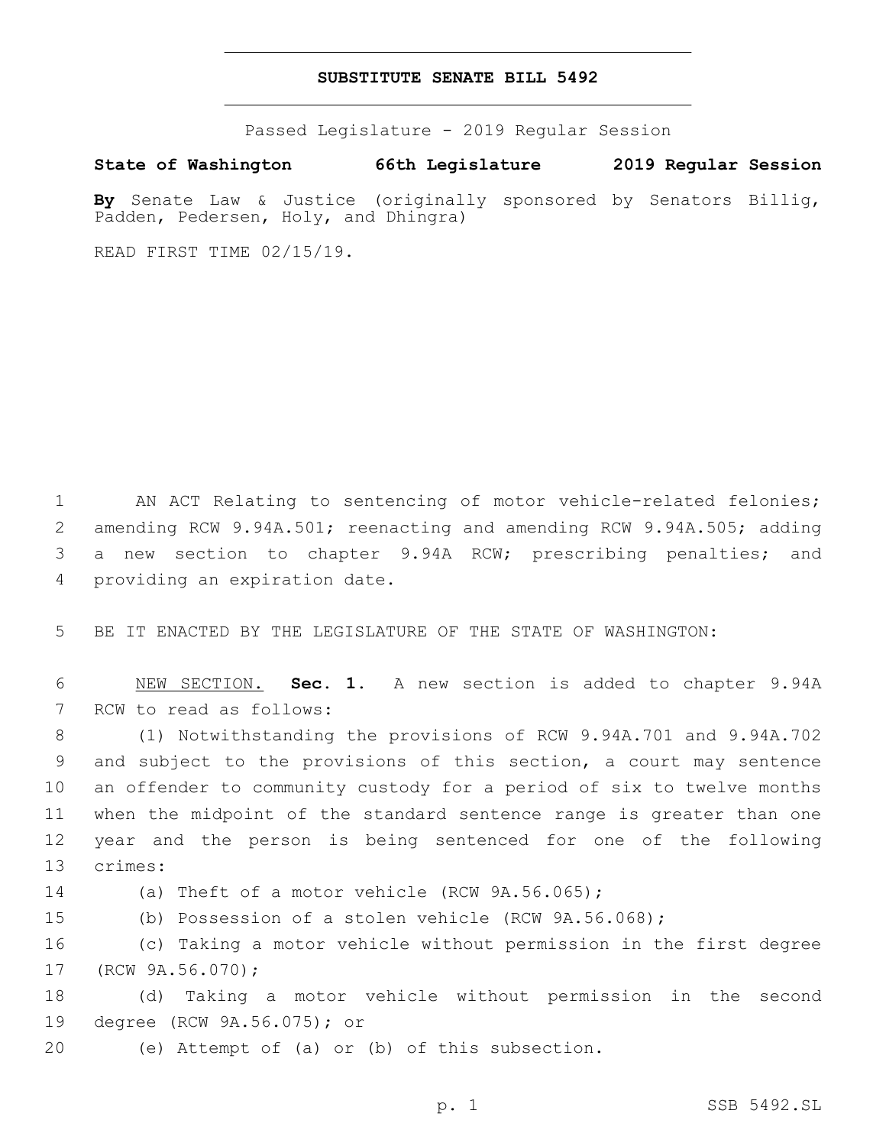## **SUBSTITUTE SENATE BILL 5492**

Passed Legislature - 2019 Regular Session

**State of Washington 66th Legislature 2019 Regular Session**

**By** Senate Law & Justice (originally sponsored by Senators Billig, Padden, Pedersen, Holy, and Dhingra)

READ FIRST TIME 02/15/19.

 AN ACT Relating to sentencing of motor vehicle-related felonies; amending RCW 9.94A.501; reenacting and amending RCW 9.94A.505; adding a new section to chapter 9.94A RCW; prescribing penalties; and 4 providing an expiration date.

5 BE IT ENACTED BY THE LEGISLATURE OF THE STATE OF WASHINGTON:

6 NEW SECTION. **Sec. 1.** A new section is added to chapter 9.94A 7 RCW to read as follows:

 (1) Notwithstanding the provisions of RCW 9.94A.701 and 9.94A.702 and subject to the provisions of this section, a court may sentence an offender to community custody for a period of six to twelve months when the midpoint of the standard sentence range is greater than one year and the person is being sentenced for one of the following 13 crimes:

14 (a) Theft of a motor vehicle (RCW 9A.56.065);

15 (b) Possession of a stolen vehicle (RCW 9A.56.068);

16 (c) Taking a motor vehicle without permission in the first degree 17 (RCW 9A.56.070);

18 (d) Taking a motor vehicle without permission in the second 19 degree (RCW 9A.56.075); or

(e) Attempt of (a) or (b) of this subsection.20

p. 1 SSB 5492.SL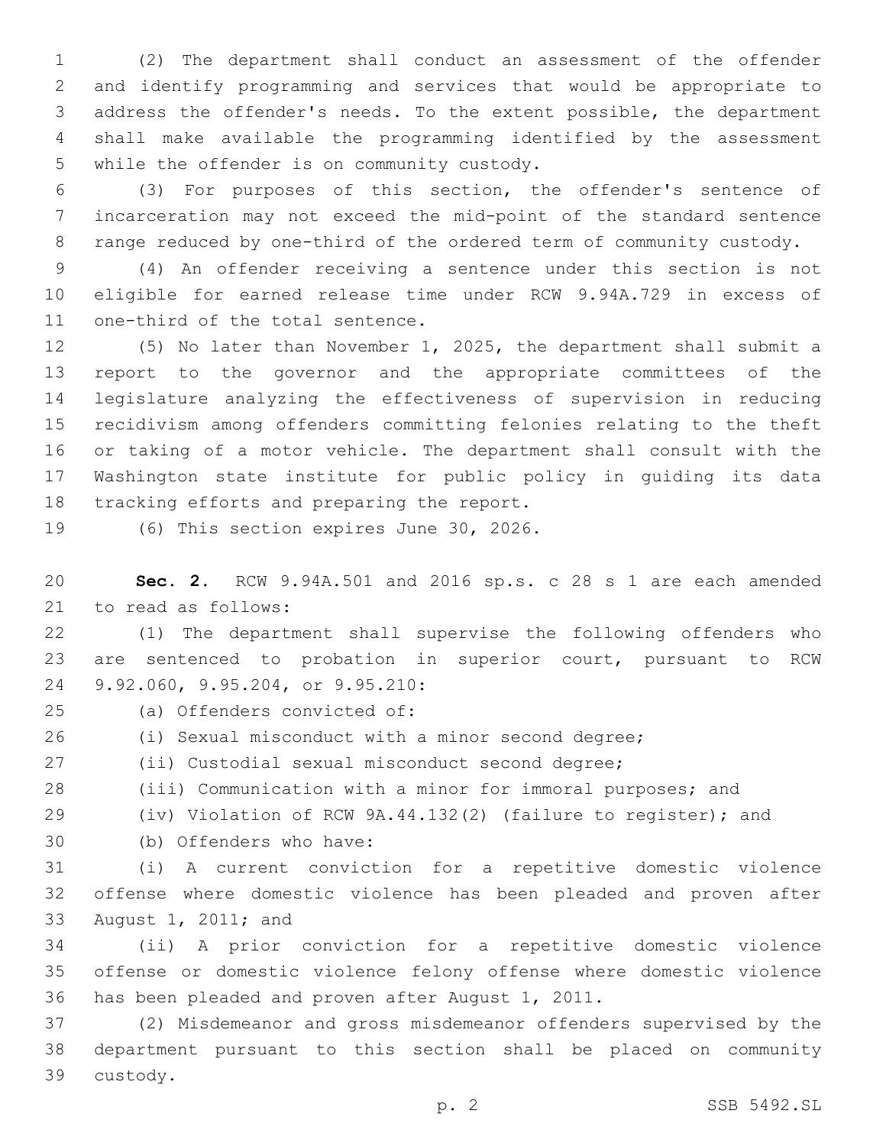(2) The department shall conduct an assessment of the offender and identify programming and services that would be appropriate to address the offender's needs. To the extent possible, the department shall make available the programming identified by the assessment 5 while the offender is on community custody.

 (3) For purposes of this section, the offender's sentence of incarceration may not exceed the mid-point of the standard sentence range reduced by one-third of the ordered term of community custody.

 (4) An offender receiving a sentence under this section is not eligible for earned release time under RCW 9.94A.729 in excess of 11 one-third of the total sentence.

 (5) No later than November 1, 2025, the department shall submit a report to the governor and the appropriate committees of the legislature analyzing the effectiveness of supervision in reducing recidivism among offenders committing felonies relating to the theft or taking of a motor vehicle. The department shall consult with the Washington state institute for public policy in guiding its data 18 tracking efforts and preparing the report.

19 (6) This section expires June 30, 2026.

 **Sec. 2.** RCW 9.94A.501 and 2016 sp.s. c 28 s 1 are each amended 21 to read as follows:

 (1) The department shall supervise the following offenders who are sentenced to probation in superior court, pursuant to RCW 24 9.92.060, 9.95.204, or 9.95.210:

(a) Offenders convicted of:25

(i) Sexual misconduct with a minor second degree;

(ii) Custodial sexual misconduct second degree;

(iii) Communication with a minor for immoral purposes; and

(iv) Violation of RCW 9A.44.132(2) (failure to register); and

(b) Offenders who have:30

 (i) A current conviction for a repetitive domestic violence offense where domestic violence has been pleaded and proven after 33 August 1, 2011; and

 (ii) A prior conviction for a repetitive domestic violence offense or domestic violence felony offense where domestic violence 36 has been pleaded and proven after August 1, 2011.

 (2) Misdemeanor and gross misdemeanor offenders supervised by the department pursuant to this section shall be placed on community 39 custody.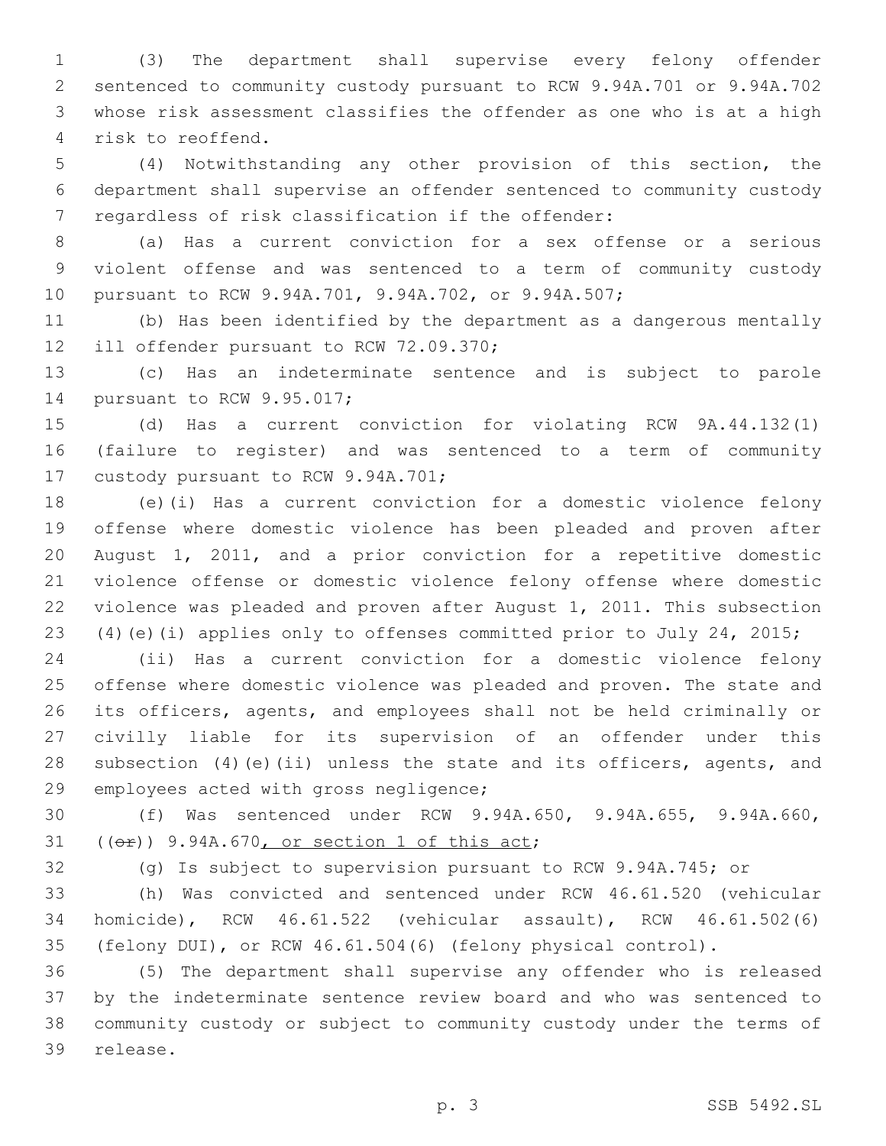(3) The department shall supervise every felony offender sentenced to community custody pursuant to RCW 9.94A.701 or 9.94A.702 whose risk assessment classifies the offender as one who is at a high 4 risk to reoffend.

 (4) Notwithstanding any other provision of this section, the department shall supervise an offender sentenced to community custody 7 regardless of risk classification if the offender:

 (a) Has a current conviction for a sex offense or a serious violent offense and was sentenced to a term of community custody pursuant to RCW 9.94A.701, 9.94A.702, or 9.94A.507;

 (b) Has been identified by the department as a dangerous mentally 12 ill offender pursuant to RCW 72.09.370;

 (c) Has an indeterminate sentence and is subject to parole 14 pursuant to RCW 9.95.017;

 (d) Has a current conviction for violating RCW 9A.44.132(1) (failure to register) and was sentenced to a term of community 17 custody pursuant to RCW 9.94A.701;

 (e)(i) Has a current conviction for a domestic violence felony offense where domestic violence has been pleaded and proven after August 1, 2011, and a prior conviction for a repetitive domestic violence offense or domestic violence felony offense where domestic violence was pleaded and proven after August 1, 2011. This subsection (4)(e)(i) applies only to offenses committed prior to July 24, 2015;

 (ii) Has a current conviction for a domestic violence felony offense where domestic violence was pleaded and proven. The state and its officers, agents, and employees shall not be held criminally or civilly liable for its supervision of an offender under this 28 subsection (4)(e)(ii) unless the state and its officers, agents, and 29 employees acted with gross negligence;

 (f) Was sentenced under RCW 9.94A.650, 9.94A.655, 9.94A.660,  $(6)$   $(6)$   $9.94A.670$ , or section 1 of this act;

(g) Is subject to supervision pursuant to RCW 9.94A.745; or

 (h) Was convicted and sentenced under RCW 46.61.520 (vehicular homicide), RCW 46.61.522 (vehicular assault), RCW 46.61.502(6) (felony DUI), or RCW 46.61.504(6) (felony physical control).

 (5) The department shall supervise any offender who is released by the indeterminate sentence review board and who was sentenced to community custody or subject to community custody under the terms of 39 release.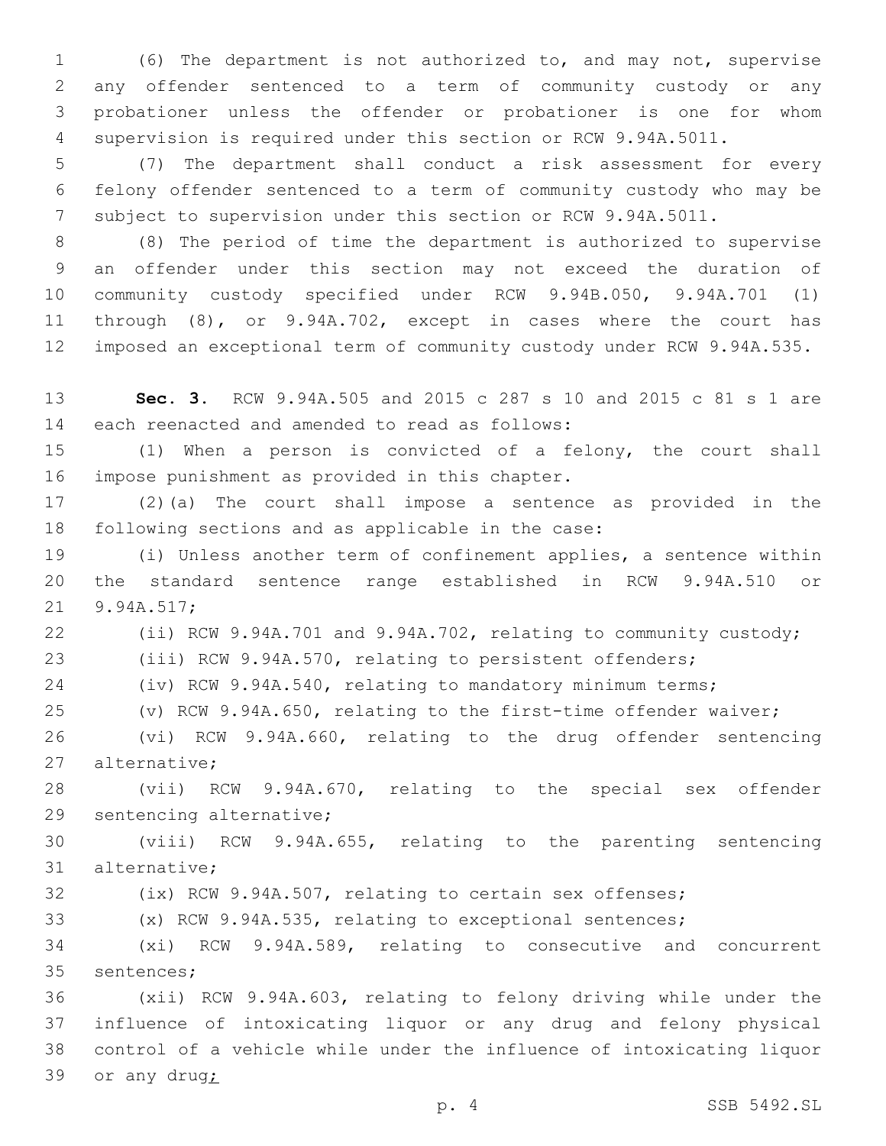(6) The department is not authorized to, and may not, supervise any offender sentenced to a term of community custody or any probationer unless the offender or probationer is one for whom supervision is required under this section or RCW 9.94A.5011.

 (7) The department shall conduct a risk assessment for every felony offender sentenced to a term of community custody who may be subject to supervision under this section or RCW 9.94A.5011.

 (8) The period of time the department is authorized to supervise an offender under this section may not exceed the duration of community custody specified under RCW 9.94B.050, 9.94A.701 (1) through (8), or 9.94A.702, except in cases where the court has imposed an exceptional term of community custody under RCW 9.94A.535.

 **Sec. 3.** RCW 9.94A.505 and 2015 c 287 s 10 and 2015 c 81 s 1 are 14 each reenacted and amended to read as follows:

 (1) When a person is convicted of a felony, the court shall 16 impose punishment as provided in this chapter.

 (2)(a) The court shall impose a sentence as provided in the 18 following sections and as applicable in the case:

 (i) Unless another term of confinement applies, a sentence within the standard sentence range established in RCW 9.94A.510 or 21 9.94A.517;

 (ii) RCW 9.94A.701 and 9.94A.702, relating to community custody; (iii) RCW 9.94A.570, relating to persistent offenders;

(iv) RCW 9.94A.540, relating to mandatory minimum terms;

(v) RCW 9.94A.650, relating to the first-time offender waiver;

 (vi) RCW 9.94A.660, relating to the drug offender sentencing 27 alternative;

 (vii) RCW 9.94A.670, relating to the special sex offender 29 sentencing alternative;

 (viii) RCW 9.94A.655, relating to the parenting sentencing 31 alternative;

(ix) RCW 9.94A.507, relating to certain sex offenses;

(x) RCW 9.94A.535, relating to exceptional sentences;

 (xi) RCW 9.94A.589, relating to consecutive and concurrent 35 sentences;

 (xii) RCW 9.94A.603, relating to felony driving while under the influence of intoxicating liquor or any drug and felony physical control of a vehicle while under the influence of intoxicating liquor or any drug;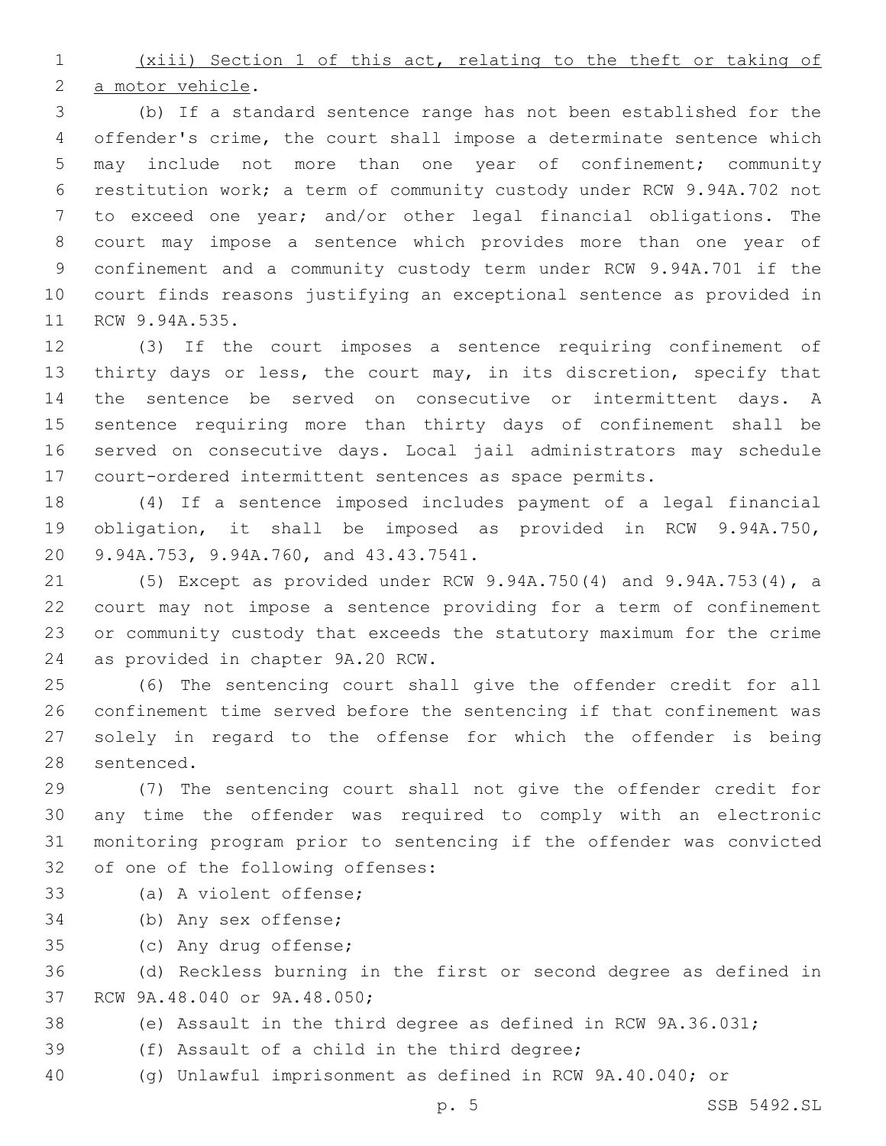(xiii) Section 1 of this act, relating to the theft or taking of 2 a motor vehicle.

 (b) If a standard sentence range has not been established for the offender's crime, the court shall impose a determinate sentence which may include not more than one year of confinement; community restitution work; a term of community custody under RCW 9.94A.702 not to exceed one year; and/or other legal financial obligations. The court may impose a sentence which provides more than one year of confinement and a community custody term under RCW 9.94A.701 if the court finds reasons justifying an exceptional sentence as provided in 11 RCW 9.94A.535.

 (3) If the court imposes a sentence requiring confinement of thirty days or less, the court may, in its discretion, specify that the sentence be served on consecutive or intermittent days. A sentence requiring more than thirty days of confinement shall be served on consecutive days. Local jail administrators may schedule court-ordered intermittent sentences as space permits.

 (4) If a sentence imposed includes payment of a legal financial obligation, it shall be imposed as provided in RCW 9.94A.750, 20 9.94A.753, 9.94A.760, and 43.43.7541.

 (5) Except as provided under RCW 9.94A.750(4) and 9.94A.753(4), a court may not impose a sentence providing for a term of confinement or community custody that exceeds the statutory maximum for the crime 24 as provided in chapter 9A.20 RCW.

 (6) The sentencing court shall give the offender credit for all confinement time served before the sentencing if that confinement was solely in regard to the offense for which the offender is being 28 sentenced.

 (7) The sentencing court shall not give the offender credit for any time the offender was required to comply with an electronic monitoring program prior to sentencing if the offender was convicted 32 of one of the following offenses:

# 33 (a) A violent offense:

34 (b) Any sex offense;

35 (c) Any drug offense;

 (d) Reckless burning in the first or second degree as defined in 37 RCW 9A.48.040 or 9A.48.050;

- (e) Assault in the third degree as defined in RCW 9A.36.031;
- 39 (f) Assault of a child in the third degree;
- (g) Unlawful imprisonment as defined in RCW 9A.40.040; or